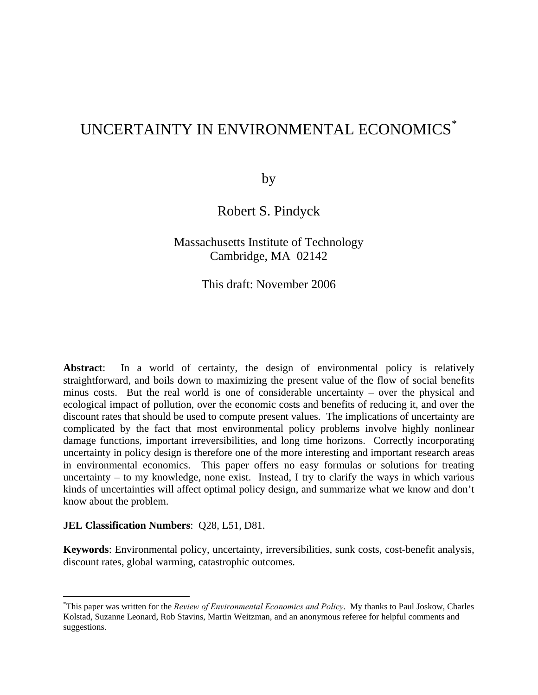# UNCERTAINTY IN ENVIRONMENTAL ECONOMICS<sup>[\\*](#page-0-0)</sup>

by

Robert S. Pindyck

Massachusetts Institute of Technology Cambridge, MA 02142

This draft: November 2006

**Abstract**: In a world of certainty, the design of environmental policy is relatively straightforward, and boils down to maximizing the present value of the flow of social benefits minus costs. But the real world is one of considerable uncertainty – over the physical and ecological impact of pollution, over the economic costs and benefits of reducing it, and over the discount rates that should be used to compute present values. The implications of uncertainty are complicated by the fact that most environmental policy problems involve highly nonlinear damage functions, important irreversibilities, and long time horizons. Correctly incorporating uncertainty in policy design is therefore one of the more interesting and important research areas in environmental economics. This paper offers no easy formulas or solutions for treating uncertainty – to my knowledge, none exist. Instead, I try to clarify the ways in which various kinds of uncertainties will affect optimal policy design, and summarize what we know and don't know about the problem.

#### **JEL Classification Numbers**: Q28, L51, D81.

 $\overline{a}$ 

**Keywords**: Environmental policy, uncertainty, irreversibilities, sunk costs, cost-benefit analysis, discount rates, global warming, catastrophic outcomes.

<span id="page-0-0"></span><sup>\*</sup> This paper was written for the *Review of Environmental Economics and Policy*. My thanks to Paul Joskow, Charles Kolstad, Suzanne Leonard, Rob Stavins, Martin Weitzman, and an anonymous referee for helpful comments and suggestions.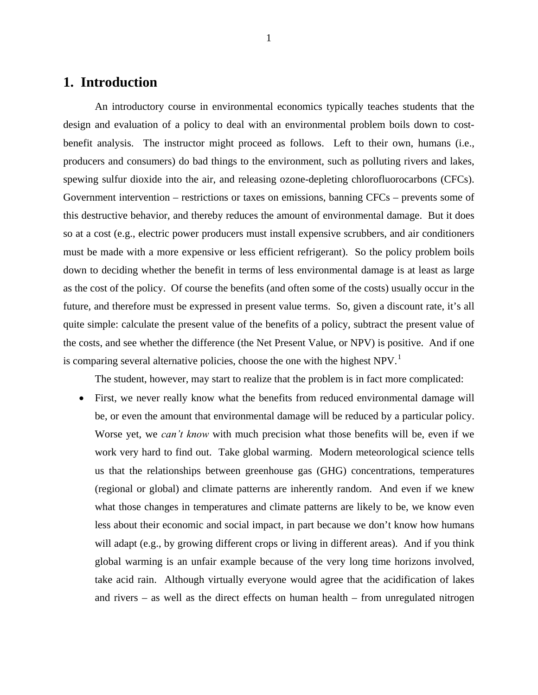## **1. Introduction**

 An introductory course in environmental economics typically teaches students that the design and evaluation of a policy to deal with an environmental problem boils down to costbenefit analysis. The instructor might proceed as follows. Left to their own, humans (i.e., producers and consumers) do bad things to the environment, such as polluting rivers and lakes, spewing sulfur dioxide into the air, and releasing ozone-depleting chlorofluorocarbons (CFCs). Government intervention – restrictions or taxes on emissions, banning CFCs – prevents some of this destructive behavior, and thereby reduces the amount of environmental damage. But it does so at a cost (e.g., electric power producers must install expensive scrubbers, and air conditioners must be made with a more expensive or less efficient refrigerant). So the policy problem boils down to deciding whether the benefit in terms of less environmental damage is at least as large as the cost of the policy. Of course the benefits (and often some of the costs) usually occur in the future, and therefore must be expressed in present value terms. So, given a discount rate, it's all quite simple: calculate the present value of the benefits of a policy, subtract the present value of the costs, and see whether the difference (the Net Present Value, or NPV) is positive. And if one is comparing several alternative policies, choose the one with the highest NPV.<sup>[1](#page-1-0)</sup>

The student, however, may start to realize that the problem is in fact more complicated:

<span id="page-1-0"></span>• First, we never really know what the benefits from reduced environmental damage will be, or even the amount that environmental damage will be reduced by a particular policy. Worse yet, we *can't know* with much precision what those benefits will be, even if we work very hard to find out. Take global warming. Modern meteorological science tells us that the relationships between greenhouse gas (GHG) concentrations, temperatures (regional or global) and climate patterns are inherently random. And even if we knew what those changes in temperatures and climate patterns are likely to be, we know even less about their economic and social impact, in part because we don't know how humans will adapt (e.g., by growing different crops or living in different areas). And if you think global warming is an unfair example because of the very long time horizons involved, take acid rain. Although virtually everyone would agree that the acidification of lakes and rivers – as well as the direct effects on human health – from unregulated nitrogen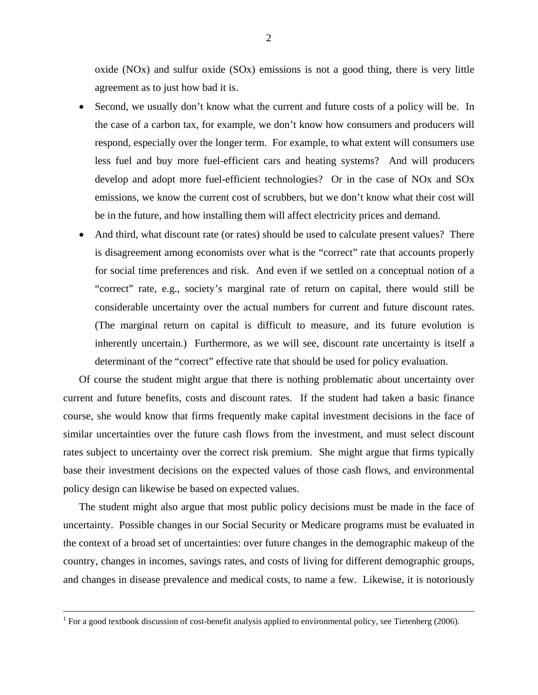oxide  $(NOx)$  and sulfur oxide  $(SOx)$  emissions is not a good thing, there is very little agreement as to just how bad it is.

- Second, we usually don't know what the current and future costs of a policy will be. In the case of a carbon tax, for example, we don't know how consumers and producers will respond, especially over the longer term. For example, to what extent will consumers use less fuel and buy more fuel-efficient cars and heating systems? And will producers develop and adopt more fuel-efficient technologies? Or in the case of NOx and SOx emissions, we know the current cost of scrubbers, but we don't know what their cost will be in the future, and how installing them will affect electricity prices and demand.
- And third, what discount rate (or rates) should be used to calculate present values? There is disagreement among economists over what is the "correct" rate that accounts properly for social time preferences and risk. And even if we settled on a conceptual notion of a "correct" rate, e.g., society's marginal rate of return on capital, there would still be considerable uncertainty over the actual numbers for current and future discount rates. (The marginal return on capital is difficult to measure, and its future evolution is inherently uncertain.) Furthermore, as we will see, discount rate uncertainty is itself a determinant of the "correct" effective rate that should be used for policy evaluation.

Of course the student might argue that there is nothing problematic about uncertainty over current and future benefits, costs and discount rates. If the student had taken a basic finance course, she would know that firms frequently make capital investment decisions in the face of similar uncertainties over the future cash flows from the investment, and must select discount rates subject to uncertainty over the correct risk premium. She might argue that firms typically base their investment decisions on the expected values of those cash flows, and environmental policy design can likewise be based on expected values.

The student might also argue that most public policy decisions must be made in the face of uncertainty. Possible changes in our Social Security or Medicare programs must be evaluated in the context of a broad set of uncertainties: over future changes in the demographic makeup of the country, changes in incomes, savings rates, and costs of living for different demographic groups, and changes in disease prevalence and medical costs, to name a few. Likewise, it is notoriously

 $\frac{1}{1}$  $1$  For a good textbook discussion of cost-benefit analysis applied to environmental policy, see Tietenberg (2006).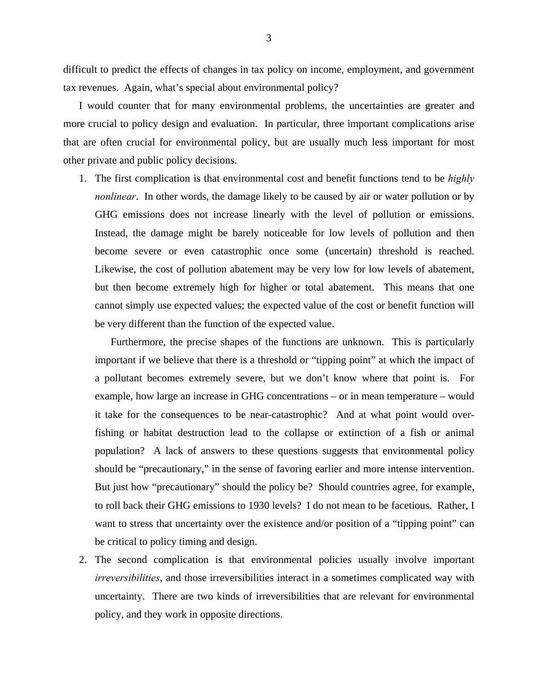difficult to predict the effects of changes in tax policy on income, employment, and government tax revenues. Again, what's special about environmental policy?

I would counter that for many environmental problems, the uncertainties are greater and more crucial to policy design and evaluation. In particular, three important complications arise that are often crucial for environmental policy, but are usually much less important for most other private and public policy decisions.

1. The first complication is that environmental cost and benefit functions tend to be *highly nonlinear*. In other words, the damage likely to be caused by air or water pollution or by GHG emissions does not increase linearly with the level of pollution or emissions. Instead, the damage might be barely noticeable for low levels of pollution and then become severe or even catastrophic once some (uncertain) threshold is reached. Likewise, the cost of pollution abatement may be very low for low levels of abatement, but then become extremely high for higher or total abatement. This means that one cannot simply use expected values; the expected value of the cost or benefit function will be very different than the function of the expected value.

Furthermore, the precise shapes of the functions are unknown. This is particularly important if we believe that there is a threshold or "tipping point" at which the impact of a pollutant becomes extremely severe, but we don't know where that point is. For example, how large an increase in GHG concentrations – or in mean temperature – would it take for the consequences to be near-catastrophic? And at what point would overfishing or habitat destruction lead to the collapse or extinction of a fish or animal population? A lack of answers to these questions suggests that environmental policy should be "precautionary," in the sense of favoring earlier and more intense intervention. But just how "precautionary" should the policy be? Should countries agree, for example, to roll back their GHG emissions to 1930 levels? I do not mean to be facetious. Rather, I want to stress that uncertainty over the existence and/or position of a "tipping point" can be critical to policy timing and design.

2. The second complication is that environmental policies usually involve important *irreversibilities*, and those irreversibilities interact in a sometimes complicated way with uncertainty. There are two kinds of irreversibilities that are relevant for environmental policy, and they work in opposite directions.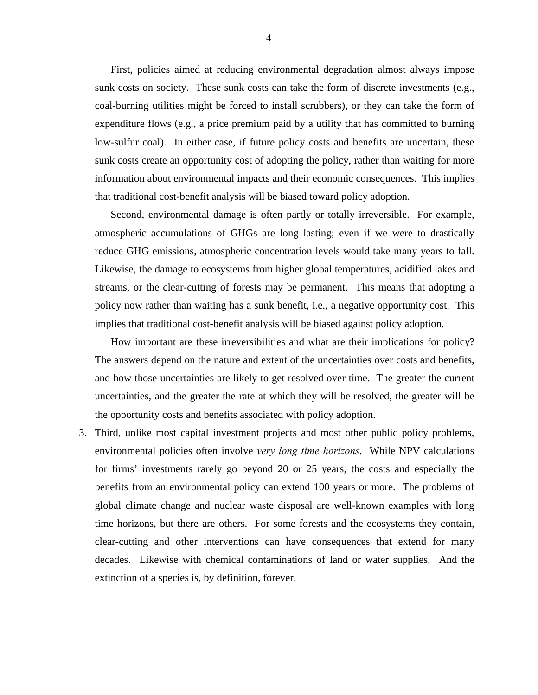First, policies aimed at reducing environmental degradation almost always impose sunk costs on society. These sunk costs can take the form of discrete investments (e.g., coal-burning utilities might be forced to install scrubbers), or they can take the form of expenditure flows (e.g., a price premium paid by a utility that has committed to burning low-sulfur coal). In either case, if future policy costs and benefits are uncertain, these sunk costs create an opportunity cost of adopting the policy, rather than waiting for more information about environmental impacts and their economic consequences. This implies that traditional cost-benefit analysis will be biased toward policy adoption.

Second, environmental damage is often partly or totally irreversible. For example, atmospheric accumulations of GHGs are long lasting; even if we were to drastically reduce GHG emissions, atmospheric concentration levels would take many years to fall. Likewise, the damage to ecosystems from higher global temperatures, acidified lakes and streams, or the clear-cutting of forests may be permanent. This means that adopting a policy now rather than waiting has a sunk benefit, i.e., a negative opportunity cost. This implies that traditional cost-benefit analysis will be biased against policy adoption.

How important are these irreversibilities and what are their implications for policy? The answers depend on the nature and extent of the uncertainties over costs and benefits, and how those uncertainties are likely to get resolved over time. The greater the current uncertainties, and the greater the rate at which they will be resolved, the greater will be the opportunity costs and benefits associated with policy adoption.

3. Third, unlike most capital investment projects and most other public policy problems, environmental policies often involve *very long time horizons*. While NPV calculations for firms' investments rarely go beyond 20 or 25 years, the costs and especially the benefits from an environmental policy can extend 100 years or more. The problems of global climate change and nuclear waste disposal are well-known examples with long time horizons, but there are others. For some forests and the ecosystems they contain, clear-cutting and other interventions can have consequences that extend for many decades. Likewise with chemical contaminations of land or water supplies. And the extinction of a species is, by definition, forever.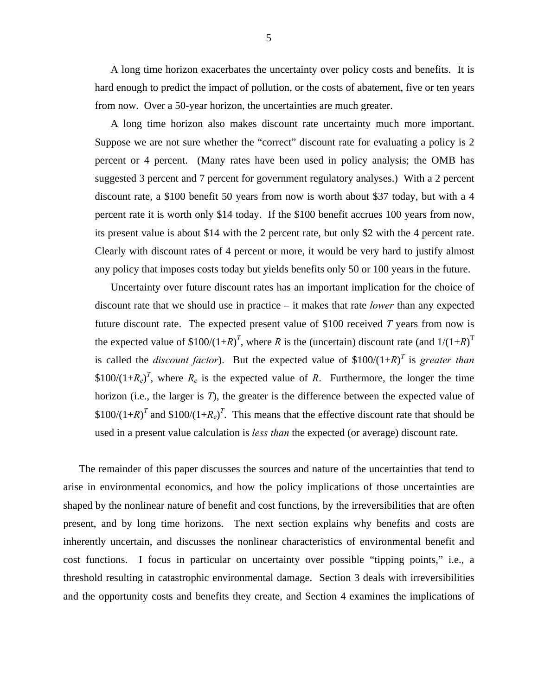A long time horizon exacerbates the uncertainty over policy costs and benefits. It is hard enough to predict the impact of pollution, or the costs of abatement, five or ten years from now. Over a 50-year horizon, the uncertainties are much greater.

A long time horizon also makes discount rate uncertainty much more important. Suppose we are not sure whether the "correct" discount rate for evaluating a policy is 2 percent or 4 percent. (Many rates have been used in policy analysis; the OMB has suggested 3 percent and 7 percent for government regulatory analyses.) With a 2 percent discount rate, a \$100 benefit 50 years from now is worth about \$37 today, but with a 4 percent rate it is worth only \$14 today. If the \$100 benefit accrues 100 years from now, its present value is about \$14 with the 2 percent rate, but only \$2 with the 4 percent rate. Clearly with discount rates of 4 percent or more, it would be very hard to justify almost any policy that imposes costs today but yields benefits only 50 or 100 years in the future.

Uncertainty over future discount rates has an important implication for the choice of discount rate that we should use in practice – it makes that rate *lower* than any expected future discount rate. The expected present value of \$100 received *T* years from now is the expected value of  $$100/(1+R)^T$ , where *R* is the (uncertain) discount rate (and  $1/(1+R)^T$ is called the *discount factor*). But the expected value of  $$100/(1+R)^{T}$  is *greater than* \$100/ $(1+R_e)^T$ , where  $R_e$  is the expected value of R. Furthermore, the longer the time horizon (i.e., the larger is *T*), the greater is the difference between the expected value of \$100/ $(1+R)^T$  and \$100/ $(1+R_e)^T$ . This means that the effective discount rate that should be used in a present value calculation is *less than* the expected (or average) discount rate.

The remainder of this paper discusses the sources and nature of the uncertainties that tend to arise in environmental economics, and how the policy implications of those uncertainties are shaped by the nonlinear nature of benefit and cost functions, by the irreversibilities that are often present, and by long time horizons. The next section explains why benefits and costs are inherently uncertain, and discusses the nonlinear characteristics of environmental benefit and cost functions. I focus in particular on uncertainty over possible "tipping points," i.e., a threshold resulting in catastrophic environmental damage. Section 3 deals with irreversibilities and the opportunity costs and benefits they create, and Section 4 examines the implications of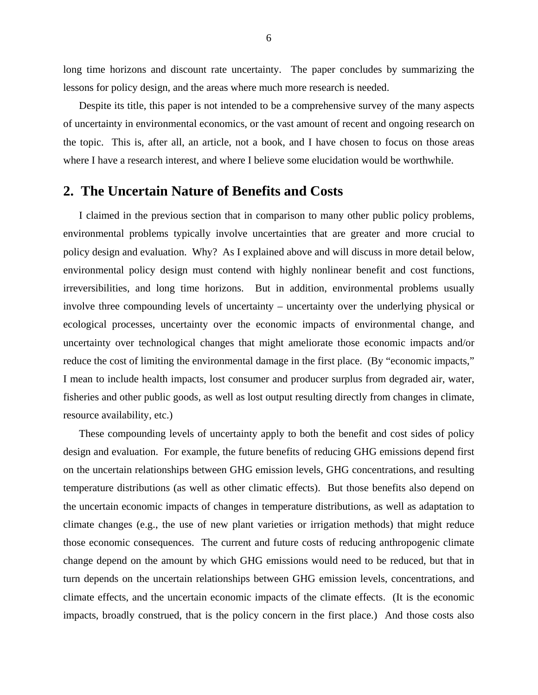long time horizons and discount rate uncertainty. The paper concludes by summarizing the lessons for policy design, and the areas where much more research is needed.

Despite its title, this paper is not intended to be a comprehensive survey of the many aspects of uncertainty in environmental economics, or the vast amount of recent and ongoing research on the topic. This is, after all, an article, not a book, and I have chosen to focus on those areas where I have a research interest, and where I believe some elucidation would be worthwhile.

## **2. The Uncertain Nature of Benefits and Costs**

I claimed in the previous section that in comparison to many other public policy problems, environmental problems typically involve uncertainties that are greater and more crucial to policy design and evaluation. Why? As I explained above and will discuss in more detail below, environmental policy design must contend with highly nonlinear benefit and cost functions, irreversibilities, and long time horizons. But in addition, environmental problems usually involve three compounding levels of uncertainty – uncertainty over the underlying physical or ecological processes, uncertainty over the economic impacts of environmental change, and uncertainty over technological changes that might ameliorate those economic impacts and/or reduce the cost of limiting the environmental damage in the first place. (By "economic impacts," I mean to include health impacts, lost consumer and producer surplus from degraded air, water, fisheries and other public goods, as well as lost output resulting directly from changes in climate, resource availability, etc.)

These compounding levels of uncertainty apply to both the benefit and cost sides of policy design and evaluation. For example, the future benefits of reducing GHG emissions depend first on the uncertain relationships between GHG emission levels, GHG concentrations, and resulting temperature distributions (as well as other climatic effects). But those benefits also depend on the uncertain economic impacts of changes in temperature distributions, as well as adaptation to climate changes (e.g., the use of new plant varieties or irrigation methods) that might reduce those economic consequences. The current and future costs of reducing anthropogenic climate change depend on the amount by which GHG emissions would need to be reduced, but that in turn depends on the uncertain relationships between GHG emission levels, concentrations, and climate effects, and the uncertain economic impacts of the climate effects. (It is the economic impacts, broadly construed, that is the policy concern in the first place.) And those costs also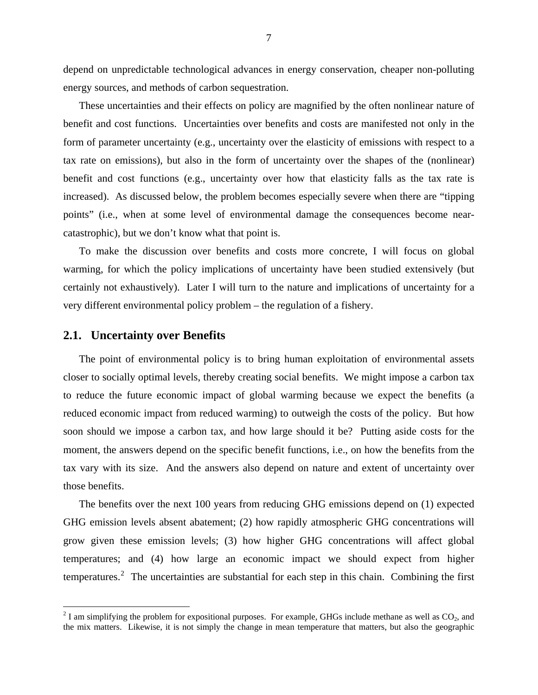depend on unpredictable technological advances in energy conservation, cheaper non-polluting energy sources, and methods of carbon sequestration.

These uncertainties and their effects on policy are magnified by the often nonlinear nature of benefit and cost functions. Uncertainties over benefits and costs are manifested not only in the form of parameter uncertainty (e.g., uncertainty over the elasticity of emissions with respect to a tax rate on emissions), but also in the form of uncertainty over the shapes of the (nonlinear) benefit and cost functions (e.g., uncertainty over how that elasticity falls as the tax rate is increased). As discussed below, the problem becomes especially severe when there are "tipping points" (i.e., when at some level of environmental damage the consequences become nearcatastrophic), but we don't know what that point is.

To make the discussion over benefits and costs more concrete, I will focus on global warming, for which the policy implications of uncertainty have been studied extensively (but certainly not exhaustively). Later I will turn to the nature and implications of uncertainty for a very different environmental policy problem – the regulation of a fishery.

#### **2.1. Uncertainty over Benefits**

The point of environmental policy is to bring human exploitation of environmental assets closer to socially optimal levels, thereby creating social benefits. We might impose a carbon tax to reduce the future economic impact of global warming because we expect the benefits (a reduced economic impact from reduced warming) to outweigh the costs of the policy. But how soon should we impose a carbon tax, and how large should it be? Putting aside costs for the moment, the answers depend on the specific benefit functions, i.e., on how the benefits from the tax vary with its size. And the answers also depend on nature and extent of uncertainty over those benefits.

The benefits over the next 100 years from reducing GHG emissions depend on (1) expected GHG emission levels absent abatement; (2) how rapidly atmospheric GHG concentrations will grow given these emission levels; (3) how higher GHG concentrations will affect global temperatures; and (4) how large an economic impact we should expect from higher temperatures.<sup>[2](#page-7-0)</sup> The uncertainties are substantial for each step in this chain. Combining the first

<span id="page-7-0"></span><sup>&</sup>lt;sup>2</sup> I am simplifying the problem for expositional purposes. For example, GHGs include methane as well as  $CO_2$ , and the mix matters. Likewise, it is not simply the change in mean temperature that matters, but also the geographic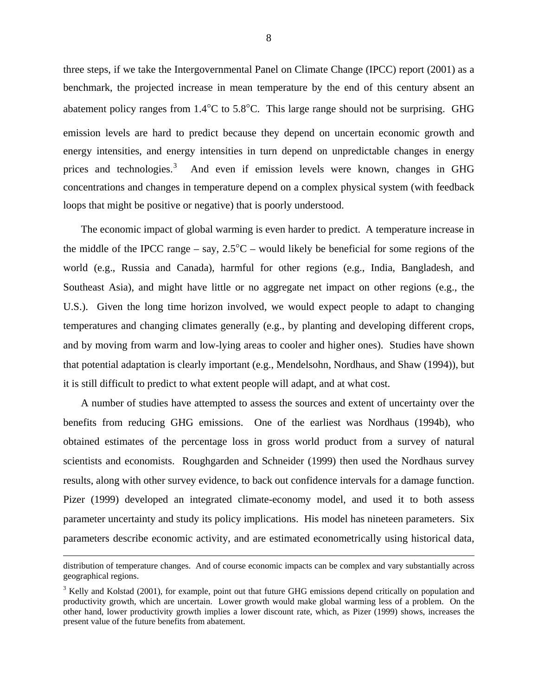three steps, if we take the Intergovernmental Panel on Climate Change (IPCC) report (2001) as a benchmark, the projected increase in mean temperature by the end of this century absent an abatement policy ranges from 1.4°C to 5.8°C. This large range should not be surprising. GHG emission levels are hard to predict because they depend on uncertain economic growth and energy intensities, and energy intensities in turn depend on unpredictable changes in energy prices and technologies.[3](#page-8-0) And even if emission levels were known, changes in GHG concentrations and changes in temperature depend on a complex physical system (with feedback loops that might be positive or negative) that is poorly understood.

The economic impact of global warming is even harder to predict. A temperature increase in the middle of the IPCC range – say,  $2.5^{\circ}$ C – would likely be beneficial for some regions of the world (e.g., Russia and Canada), harmful for other regions (e.g., India, Bangladesh, and Southeast Asia), and might have little or no aggregate net impact on other regions (e.g., the U.S.). Given the long time horizon involved, we would expect people to adapt to changing temperatures and changing climates generally (e.g., by planting and developing different crops, and by moving from warm and low-lying areas to cooler and higher ones). Studies have shown that potential adaptation is clearly important (e.g., Mendelsohn, Nordhaus, and Shaw (1994)), but it is still difficult to predict to what extent people will adapt, and at what cost.

A number of studies have attempted to assess the sources and extent of uncertainty over the benefits from reducing GHG emissions. One of the earliest was Nordhaus (1994b), who obtained estimates of the percentage loss in gross world product from a survey of natural scientists and economists. Roughgarden and Schneider (1999) then used the Nordhaus survey results, along with other survey evidence, to back out confidence intervals for a damage function. Pizer (1999) developed an integrated climate-economy model, and used it to both assess parameter uncertainty and study its policy implications. His model has nineteen parameters. Six parameters describe economic activity, and are estimated econometrically using historical data,

distribution of temperature changes. And of course economic impacts can be complex and vary substantially across geographical regions.

<span id="page-8-0"></span> $3$  Kelly and Kolstad (2001), for example, point out that future GHG emissions depend critically on population and productivity growth, which are uncertain. Lower growth would make global warming less of a problem. On the other hand, lower productivity growth implies a lower discount rate, which, as Pizer (1999) shows, increases the present value of the future benefits from abatement.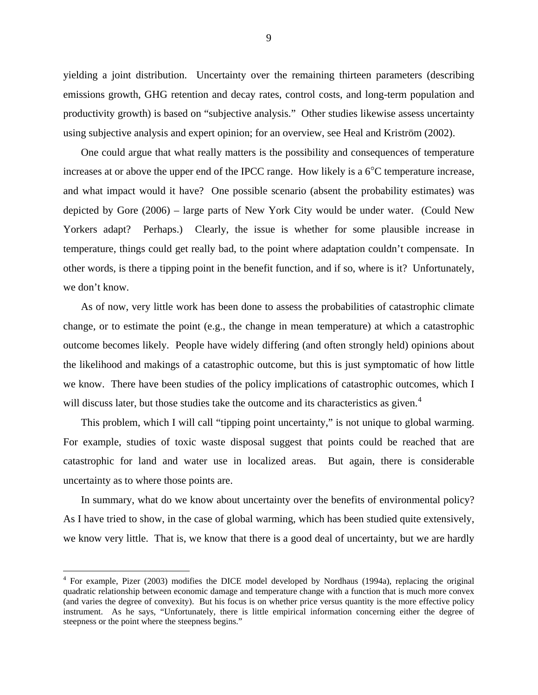yielding a joint distribution. Uncertainty over the remaining thirteen parameters (describing emissions growth, GHG retention and decay rates, control costs, and long-term population and productivity growth) is based on "subjective analysis." Other studies likewise assess uncertainty using subjective analysis and expert opinion; for an overview, see Heal and Kriström (2002).

One could argue that what really matters is the possibility and consequences of temperature increases at or above the upper end of the IPCC range. How likely is a 6°C temperature increase, and what impact would it have? One possible scenario (absent the probability estimates) was depicted by Gore (2006) – large parts of New York City would be under water. (Could New Yorkers adapt? Perhaps.) Clearly, the issue is whether for some plausible increase in temperature, things could get really bad, to the point where adaptation couldn't compensate. In other words, is there a tipping point in the benefit function, and if so, where is it? Unfortunately, we don't know.

As of now, very little work has been done to assess the probabilities of catastrophic climate change, or to estimate the point (e.g., the change in mean temperature) at which a catastrophic outcome becomes likely. People have widely differing (and often strongly held) opinions about the likelihood and makings of a catastrophic outcome, but this is just symptomatic of how little we know. There have been studies of the policy implications of catastrophic outcomes, which I will discuss later, but those studies take the outcome and its characteristics as given. $4$ 

This problem, which I will call "tipping point uncertainty," is not unique to global warming. For example, studies of toxic waste disposal suggest that points could be reached that are catastrophic for land and water use in localized areas. But again, there is considerable uncertainty as to where those points are.

In summary, what do we know about uncertainty over the benefits of environmental policy? As I have tried to show, in the case of global warming, which has been studied quite extensively, we know very little. That is, we know that there is a good deal of uncertainty, but we are hardly

<span id="page-9-0"></span><sup>&</sup>lt;sup>4</sup> For example, Pizer (2003) modifies the DICE model developed by Nordhaus (1994a), replacing the original quadratic relationship between economic damage and temperature change with a function that is much more convex (and varies the degree of convexity). But his focus is on whether price versus quantity is the more effective policy instrument. As he says, "Unfortunately, there is little empirical information concerning either the degree of steepness or the point where the steepness begins."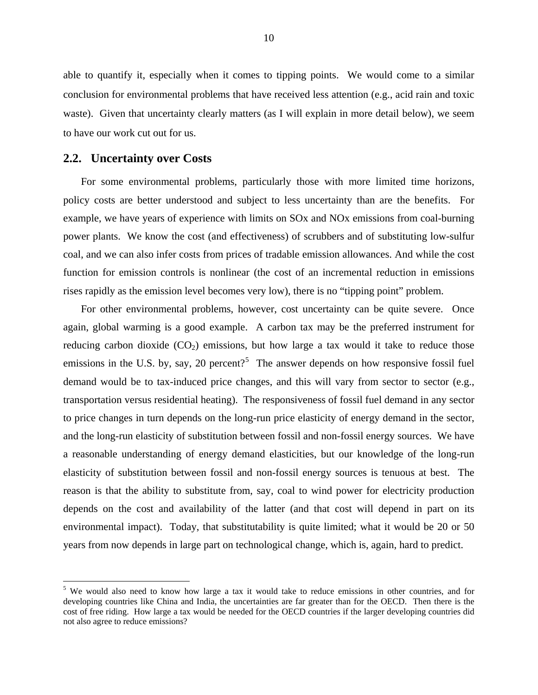able to quantify it, especially when it comes to tipping points. We would come to a similar conclusion for environmental problems that have received less attention (e.g., acid rain and toxic waste). Given that uncertainty clearly matters (as I will explain in more detail below), we seem to have our work cut out for us.

#### **2.2. Uncertainty over Costs**

 $\overline{a}$ 

For some environmental problems, particularly those with more limited time horizons, policy costs are better understood and subject to less uncertainty than are the benefits. For example, we have years of experience with limits on SOx and NOx emissions from coal-burning power plants. We know the cost (and effectiveness) of scrubbers and of substituting low-sulfur coal, and we can also infer costs from prices of tradable emission allowances. And while the cost function for emission controls is nonlinear (the cost of an incremental reduction in emissions rises rapidly as the emission level becomes very low), there is no "tipping point" problem.

For other environmental problems, however, cost uncertainty can be quite severe. Once again, global warming is a good example. A carbon tax may be the preferred instrument for reducing carbon dioxide  $(CO<sub>2</sub>)$  emissions, but how large a tax would it take to reduce those emissions in the U.S. by, say, 20 percent?<sup>[5](#page-10-0)</sup> The answer depends on how responsive fossil fuel demand would be to tax-induced price changes, and this will vary from sector to sector (e.g., transportation versus residential heating). The responsiveness of fossil fuel demand in any sector to price changes in turn depends on the long-run price elasticity of energy demand in the sector, and the long-run elasticity of substitution between fossil and non-fossil energy sources. We have a reasonable understanding of energy demand elasticities, but our knowledge of the long-run elasticity of substitution between fossil and non-fossil energy sources is tenuous at best. The reason is that the ability to substitute from, say, coal to wind power for electricity production depends on the cost and availability of the latter (and that cost will depend in part on its environmental impact). Today, that substitutability is quite limited; what it would be 20 or 50 years from now depends in large part on technological change, which is, again, hard to predict.

<span id="page-10-0"></span><sup>&</sup>lt;sup>5</sup> We would also need to know how large a tax it would take to reduce emissions in other countries, and for developing countries like China and India, the uncertainties are far greater than for the OECD. Then there is the cost of free riding. How large a tax would be needed for the OECD countries if the larger developing countries did not also agree to reduce emissions?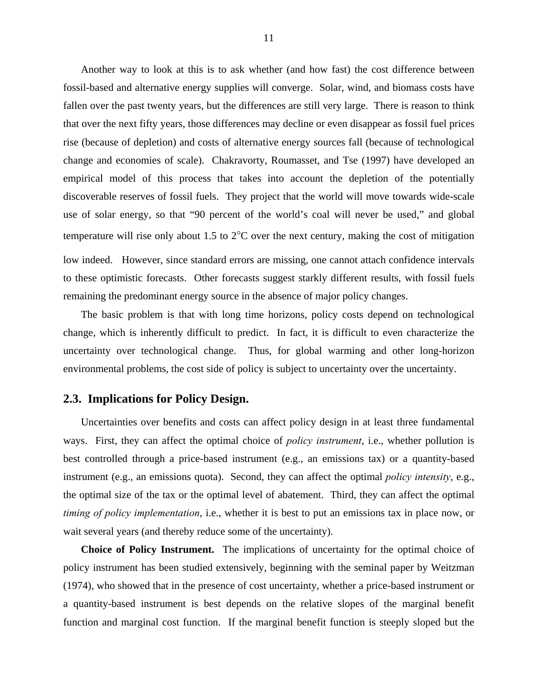Another way to look at this is to ask whether (and how fast) the cost difference between fossil-based and alternative energy supplies will converge. Solar, wind, and biomass costs have fallen over the past twenty years, but the differences are still very large. There is reason to think that over the next fifty years, those differences may decline or even disappear as fossil fuel prices rise (because of depletion) and costs of alternative energy sources fall (because of technological change and economies of scale). Chakravorty, Roumasset, and Tse (1997) have developed an empirical model of this process that takes into account the depletion of the potentially discoverable reserves of fossil fuels. They project that the world will move towards wide-scale use of solar energy, so that "90 percent of the world's coal will never be used," and global temperature will rise only about 1.5 to 2°C over the next century, making the cost of mitigation low indeed. However, since standard errors are missing, one cannot attach confidence intervals to these optimistic forecasts. Other forecasts suggest starkly different results, with fossil fuels remaining the predominant energy source in the absence of major policy changes.

The basic problem is that with long time horizons, policy costs depend on technological change, which is inherently difficult to predict. In fact, it is difficult to even characterize the uncertainty over technological change. Thus, for global warming and other long-horizon environmental problems, the cost side of policy is subject to uncertainty over the uncertainty.

## **2.3. Implications for Policy Design.**

Uncertainties over benefits and costs can affect policy design in at least three fundamental ways. First, they can affect the optimal choice of *policy instrument*, i.e., whether pollution is best controlled through a price-based instrument (e.g., an emissions tax) or a quantity-based instrument (e.g., an emissions quota). Second, they can affect the optimal *policy intensity*, e.g., the optimal size of the tax or the optimal level of abatement. Third, they can affect the optimal *timing of policy implementation*, i.e., whether it is best to put an emissions tax in place now, or wait several years (and thereby reduce some of the uncertainty).

**Choice of Policy Instrument.** The implications of uncertainty for the optimal choice of policy instrument has been studied extensively, beginning with the seminal paper by Weitzman (1974), who showed that in the presence of cost uncertainty, whether a price-based instrument or a quantity-based instrument is best depends on the relative slopes of the marginal benefit function and marginal cost function. If the marginal benefit function is steeply sloped but the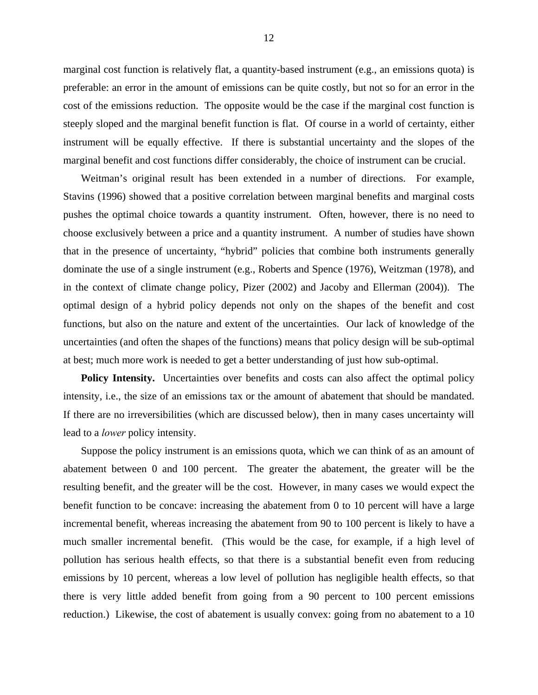marginal cost function is relatively flat, a quantity-based instrument (e.g., an emissions quota) is preferable: an error in the amount of emissions can be quite costly, but not so for an error in the cost of the emissions reduction. The opposite would be the case if the marginal cost function is steeply sloped and the marginal benefit function is flat. Of course in a world of certainty, either instrument will be equally effective. If there is substantial uncertainty and the slopes of the marginal benefit and cost functions differ considerably, the choice of instrument can be crucial.

Weitman's original result has been extended in a number of directions. For example, Stavins (1996) showed that a positive correlation between marginal benefits and marginal costs pushes the optimal choice towards a quantity instrument. Often, however, there is no need to choose exclusively between a price and a quantity instrument. A number of studies have shown that in the presence of uncertainty, "hybrid" policies that combine both instruments generally dominate the use of a single instrument (e.g., Roberts and Spence (1976), Weitzman (1978), and in the context of climate change policy, Pizer (2002) and Jacoby and Ellerman (2004)). The optimal design of a hybrid policy depends not only on the shapes of the benefit and cost functions, but also on the nature and extent of the uncertainties. Our lack of knowledge of the uncertainties (and often the shapes of the functions) means that policy design will be sub-optimal at best; much more work is needed to get a better understanding of just how sub-optimal.

**Policy Intensity.** Uncertainties over benefits and costs can also affect the optimal policy intensity, i.e., the size of an emissions tax or the amount of abatement that should be mandated. If there are no irreversibilities (which are discussed below), then in many cases uncertainty will lead to a *lower* policy intensity.

Suppose the policy instrument is an emissions quota, which we can think of as an amount of abatement between 0 and 100 percent. The greater the abatement, the greater will be the resulting benefit, and the greater will be the cost. However, in many cases we would expect the benefit function to be concave: increasing the abatement from 0 to 10 percent will have a large incremental benefit, whereas increasing the abatement from 90 to 100 percent is likely to have a much smaller incremental benefit. (This would be the case, for example, if a high level of pollution has serious health effects, so that there is a substantial benefit even from reducing emissions by 10 percent, whereas a low level of pollution has negligible health effects, so that there is very little added benefit from going from a 90 percent to 100 percent emissions reduction.) Likewise, the cost of abatement is usually convex: going from no abatement to a 10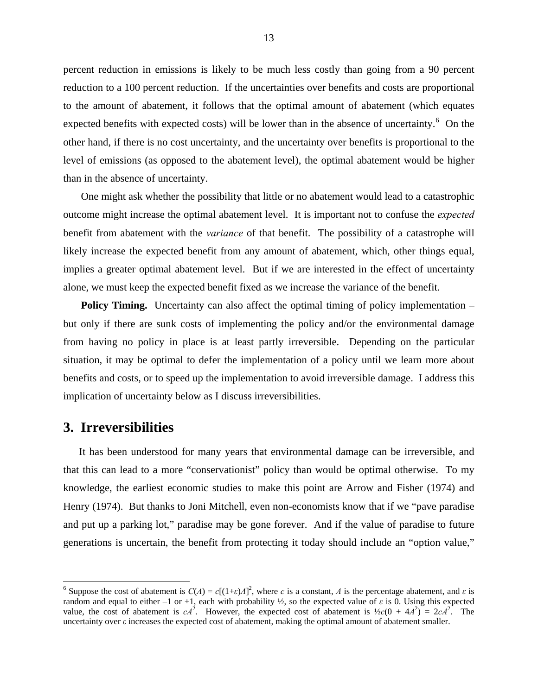percent reduction in emissions is likely to be much less costly than going from a 90 percent reduction to a 100 percent reduction. If the uncertainties over benefits and costs are proportional to the amount of abatement, it follows that the optimal amount of abatement (which equates expected benefits with expected costs) will be lower than in the absence of uncertainty. $6$  On the other hand, if there is no cost uncertainty, and the uncertainty over benefits is proportional to the level of emissions (as opposed to the abatement level), the optimal abatement would be higher than in the absence of uncertainty.

One might ask whether the possibility that little or no abatement would lead to a catastrophic outcome might increase the optimal abatement level. It is important not to confuse the *expected* benefit from abatement with the *variance* of that benefit. The possibility of a catastrophe will likely increase the expected benefit from any amount of abatement, which, other things equal, implies a greater optimal abatement level. But if we are interested in the effect of uncertainty alone, we must keep the expected benefit fixed as we increase the variance of the benefit.

**Policy Timing.** Uncertainty can also affect the optimal timing of policy implementation – but only if there are sunk costs of implementing the policy and/or the environmental damage from having no policy in place is at least partly irreversible. Depending on the particular situation, it may be optimal to defer the implementation of a policy until we learn more about benefits and costs, or to speed up the implementation to avoid irreversible damage. I address this implication of uncertainty below as I discuss irreversibilities.

## **3. Irreversibilities**

 $\overline{a}$ 

It has been understood for many years that environmental damage can be irreversible, and that this can lead to a more "conservationist" policy than would be optimal otherwise. To my knowledge, the earliest economic studies to make this point are Arrow and Fisher (1974) and Henry (1974). But thanks to Joni Mitchell, even non-economists know that if we "pave paradise and put up a parking lot," paradise may be gone forever. And if the value of paradise to future generations is uncertain, the benefit from protecting it today should include an "option value,"

<span id="page-13-0"></span><sup>&</sup>lt;sup>6</sup> Suppose the cost of abatement is  $C(A) = c[(1+\varepsilon)A]^2$ , where *c* is a constant, *A* is the percentage abatement, and  $\varepsilon$  is random and equal to either –1 or +1, each with probability  $\frac{1}{2}$ , so the expected value of  $\varepsilon$  is 0. Using this expected value, the cost of abatement is  $cA^2$ . However, the expected cost of abatement is  $\frac{1}{2}c(0 + 4A^2) = 2cA^2$ . The uncertainty over *ε* increases the expected cost of abatement, making the optimal amount of abatement smaller.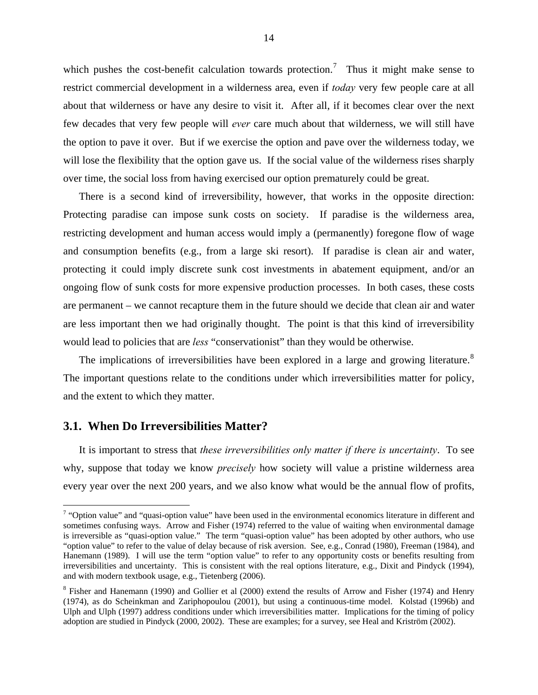which pushes the cost-benefit calculation towards protection.<sup>[7](#page-14-0)</sup> Thus it might make sense to restrict commercial development in a wilderness area, even if *today* very few people care at all about that wilderness or have any desire to visit it. After all, if it becomes clear over the next few decades that very few people will *ever* care much about that wilderness, we will still have the option to pave it over. But if we exercise the option and pave over the wilderness today, we will lose the flexibility that the option gave us. If the social value of the wilderness rises sharply over time, the social loss from having exercised our option prematurely could be great.

There is a second kind of irreversibility, however, that works in the opposite direction: Protecting paradise can impose sunk costs on society. If paradise is the wilderness area, restricting development and human access would imply a (permanently) foregone flow of wage and consumption benefits (e.g., from a large ski resort). If paradise is clean air and water, protecting it could imply discrete sunk cost investments in abatement equipment, and/or an ongoing flow of sunk costs for more expensive production processes. In both cases, these costs are permanent – we cannot recapture them in the future should we decide that clean air and water are less important then we had originally thought. The point is that this kind of irreversibility would lead to policies that are *less* "conservationist" than they would be otherwise.

The implications of irreversibilities have been explored in a large and growing literature.<sup>[8](#page-14-1)</sup> The important questions relate to the conditions under which irreversibilities matter for policy, and the extent to which they matter.

#### **3.1. When Do Irreversibilities Matter?**

 $\overline{a}$ 

It is important to stress that *these irreversibilities only matter if there is uncertainty*. To see why, suppose that today we know *precisely* how society will value a pristine wilderness area every year over the next 200 years, and we also know what would be the annual flow of profits,

<span id="page-14-0"></span> $<sup>7</sup>$  "Option value" and "quasi-option value" have been used in the environmental economics literature in different and</sup> sometimes confusing ways. Arrow and Fisher (1974) referred to the value of waiting when environmental damage is irreversible as "quasi-option value." The term "quasi-option value" has been adopted by other authors, who use "option value" to refer to the value of delay because of risk aversion. See, e.g., Conrad (1980), Freeman (1984), and Hanemann (1989). I will use the term "option value" to refer to any opportunity costs or benefits resulting from irreversibilities and uncertainty. This is consistent with the real options literature, e.g., Dixit and Pindyck (1994), and with modern textbook usage, e.g., Tietenberg (2006).

<span id="page-14-1"></span><sup>&</sup>lt;sup>8</sup> Fisher and Hanemann (1990) and Gollier et al (2000) extend the results of Arrow and Fisher (1974) and Henry (1974), as do Scheinkman and Zariphopoulou (2001), but using a continuous-time model. Kolstad (1996b) and Ulph and Ulph (1997) address conditions under which irreversibilities matter. Implications for the timing of policy adoption are studied in Pindyck (2000, 2002). These are examples; for a survey, see Heal and Kriström (2002).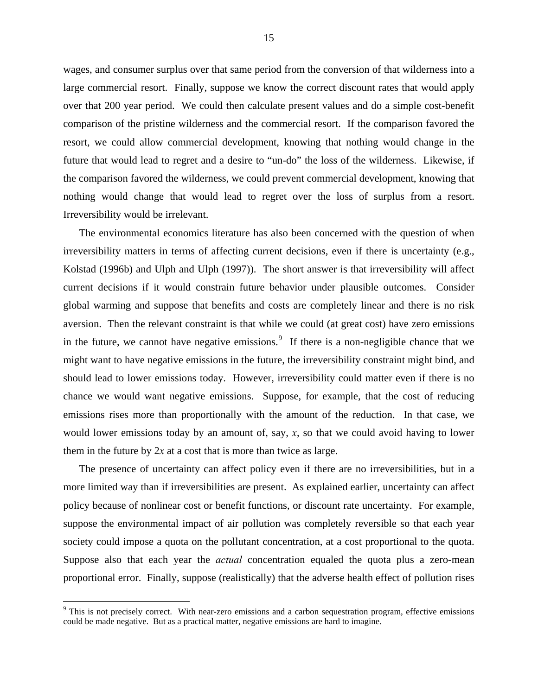wages, and consumer surplus over that same period from the conversion of that wilderness into a large commercial resort. Finally, suppose we know the correct discount rates that would apply over that 200 year period. We could then calculate present values and do a simple cost-benefit comparison of the pristine wilderness and the commercial resort. If the comparison favored the resort, we could allow commercial development, knowing that nothing would change in the future that would lead to regret and a desire to "un-do" the loss of the wilderness. Likewise, if the comparison favored the wilderness, we could prevent commercial development, knowing that nothing would change that would lead to regret over the loss of surplus from a resort. Irreversibility would be irrelevant.

The environmental economics literature has also been concerned with the question of when irreversibility matters in terms of affecting current decisions, even if there is uncertainty (e.g., Kolstad (1996b) and Ulph and Ulph (1997)). The short answer is that irreversibility will affect current decisions if it would constrain future behavior under plausible outcomes. Consider global warming and suppose that benefits and costs are completely linear and there is no risk aversion. Then the relevant constraint is that while we could (at great cost) have zero emissions in the future, we cannot have negative emissions.<sup>[9](#page-15-0)</sup> If there is a non-negligible chance that we might want to have negative emissions in the future, the irreversibility constraint might bind, and should lead to lower emissions today. However, irreversibility could matter even if there is no chance we would want negative emissions. Suppose, for example, that the cost of reducing emissions rises more than proportionally with the amount of the reduction. In that case, we would lower emissions today by an amount of, say, *x*, so that we could avoid having to lower them in the future by  $2x$  at a cost that is more than twice as large.

The presence of uncertainty can affect policy even if there are no irreversibilities, but in a more limited way than if irreversibilities are present. As explained earlier, uncertainty can affect policy because of nonlinear cost or benefit functions, or discount rate uncertainty. For example, suppose the environmental impact of air pollution was completely reversible so that each year society could impose a quota on the pollutant concentration, at a cost proportional to the quota. Suppose also that each year the *actual* concentration equaled the quota plus a zero-mean proportional error. Finally, suppose (realistically) that the adverse health effect of pollution rises

<span id="page-15-0"></span><sup>&</sup>lt;sup>9</sup> This is not precisely correct. With near-zero emissions and a carbon sequestration program, effective emissions could be made negative. But as a practical matter, negative emissions are hard to imagine.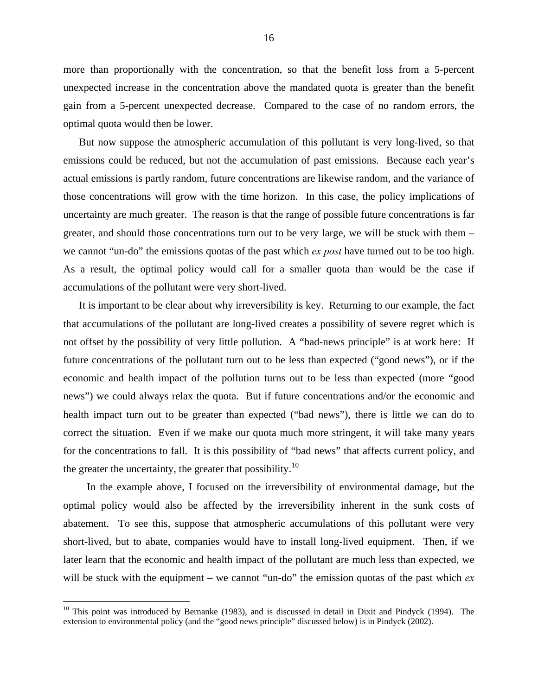more than proportionally with the concentration, so that the benefit loss from a 5-percent unexpected increase in the concentration above the mandated quota is greater than the benefit gain from a 5-percent unexpected decrease. Compared to the case of no random errors, the optimal quota would then be lower.

But now suppose the atmospheric accumulation of this pollutant is very long-lived, so that emissions could be reduced, but not the accumulation of past emissions. Because each year's actual emissions is partly random, future concentrations are likewise random, and the variance of those concentrations will grow with the time horizon. In this case, the policy implications of uncertainty are much greater. The reason is that the range of possible future concentrations is far greater, and should those concentrations turn out to be very large, we will be stuck with them – we cannot "un-do" the emissions quotas of the past which *ex post* have turned out to be too high. As a result, the optimal policy would call for a smaller quota than would be the case if accumulations of the pollutant were very short-lived.

It is important to be clear about why irreversibility is key. Returning to our example, the fact that accumulations of the pollutant are long-lived creates a possibility of severe regret which is not offset by the possibility of very little pollution. A "bad-news principle" is at work here: If future concentrations of the pollutant turn out to be less than expected ("good news"), or if the economic and health impact of the pollution turns out to be less than expected (more "good news") we could always relax the quota. But if future concentrations and/or the economic and health impact turn out to be greater than expected ("bad news"), there is little we can do to correct the situation. Even if we make our quota much more stringent, it will take many years for the concentrations to fall. It is this possibility of "bad news" that affects current policy, and the greater the uncertainty, the greater that possibility.<sup>[10](#page-16-0)</sup>

 In the example above, I focused on the irreversibility of environmental damage, but the optimal policy would also be affected by the irreversibility inherent in the sunk costs of abatement. To see this, suppose that atmospheric accumulations of this pollutant were very short-lived, but to abate, companies would have to install long-lived equipment. Then, if we later learn that the economic and health impact of the pollutant are much less than expected, we will be stuck with the equipment – we cannot "un-do" the emission quotas of the past which *ex* 

<span id="page-16-0"></span> $10$  This point was introduced by Bernanke (1983), and is discussed in detail in Dixit and Pindyck (1994). The extension to environmental policy (and the "good news principle" discussed below) is in Pindyck (2002).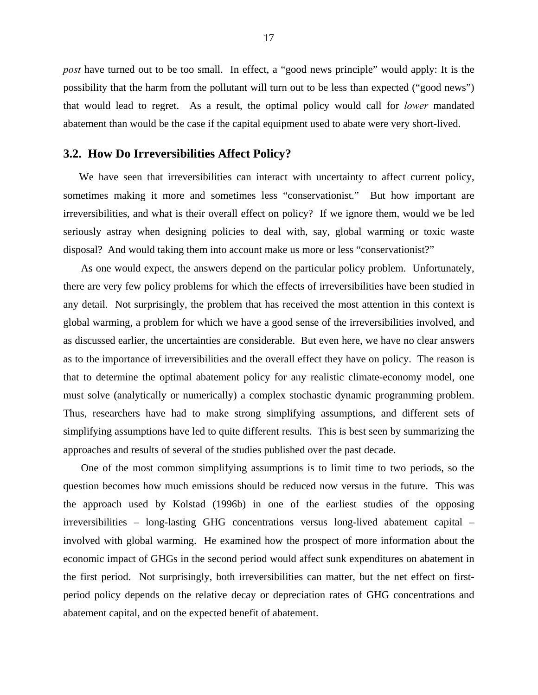*post* have turned out to be too small. In effect, a "good news principle" would apply: It is the possibility that the harm from the pollutant will turn out to be less than expected ("good news") that would lead to regret. As a result, the optimal policy would call for *lower* mandated abatement than would be the case if the capital equipment used to abate were very short-lived.

#### **3.2. How Do Irreversibilities Affect Policy?**

We have seen that irreversibilities can interact with uncertainty to affect current policy, sometimes making it more and sometimes less "conservationist." But how important are irreversibilities, and what is their overall effect on policy? If we ignore them, would we be led seriously astray when designing policies to deal with, say, global warming or toxic waste disposal? And would taking them into account make us more or less "conservationist?"

As one would expect, the answers depend on the particular policy problem. Unfortunately, there are very few policy problems for which the effects of irreversibilities have been studied in any detail. Not surprisingly, the problem that has received the most attention in this context is global warming, a problem for which we have a good sense of the irreversibilities involved, and as discussed earlier, the uncertainties are considerable. But even here, we have no clear answers as to the importance of irreversibilities and the overall effect they have on policy. The reason is that to determine the optimal abatement policy for any realistic climate-economy model, one must solve (analytically or numerically) a complex stochastic dynamic programming problem. Thus, researchers have had to make strong simplifying assumptions, and different sets of simplifying assumptions have led to quite different results. This is best seen by summarizing the approaches and results of several of the studies published over the past decade.

One of the most common simplifying assumptions is to limit time to two periods, so the question becomes how much emissions should be reduced now versus in the future. This was the approach used by Kolstad (1996b) in one of the earliest studies of the opposing irreversibilities – long-lasting GHG concentrations versus long-lived abatement capital – involved with global warming. He examined how the prospect of more information about the economic impact of GHGs in the second period would affect sunk expenditures on abatement in the first period. Not surprisingly, both irreversibilities can matter, but the net effect on firstperiod policy depends on the relative decay or depreciation rates of GHG concentrations and abatement capital, and on the expected benefit of abatement.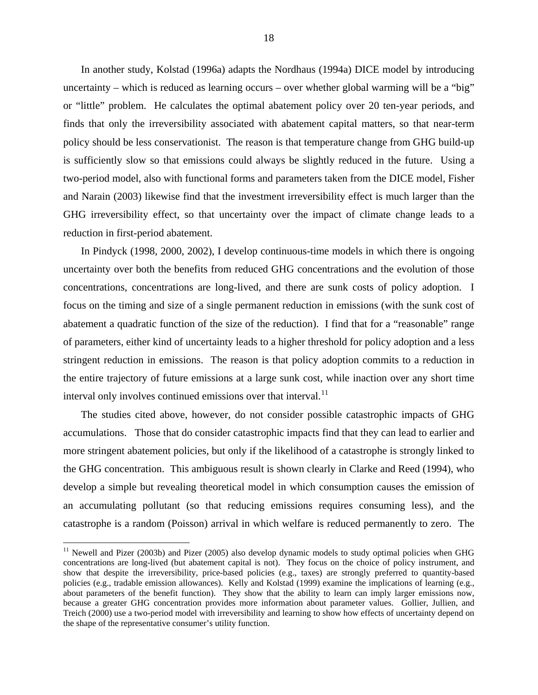In another study, Kolstad (1996a) adapts the Nordhaus (1994a) DICE model by introducing uncertainty – which is reduced as learning occurs – over whether global warming will be a "big" or "little" problem. He calculates the optimal abatement policy over 20 ten-year periods, and finds that only the irreversibility associated with abatement capital matters, so that near-term policy should be less conservationist. The reason is that temperature change from GHG build-up is sufficiently slow so that emissions could always be slightly reduced in the future. Using a two-period model, also with functional forms and parameters taken from the DICE model, Fisher and Narain (2003) likewise find that the investment irreversibility effect is much larger than the GHG irreversibility effect, so that uncertainty over the impact of climate change leads to a reduction in first-period abatement.

In Pindyck (1998, 2000, 2002), I develop continuous-time models in which there is ongoing uncertainty over both the benefits from reduced GHG concentrations and the evolution of those concentrations, concentrations are long-lived, and there are sunk costs of policy adoption. I focus on the timing and size of a single permanent reduction in emissions (with the sunk cost of abatement a quadratic function of the size of the reduction). I find that for a "reasonable" range of parameters, either kind of uncertainty leads to a higher threshold for policy adoption and a less stringent reduction in emissions. The reason is that policy adoption commits to a reduction in the entire trajectory of future emissions at a large sunk cost, while inaction over any short time interval only involves continued emissions over that interval.<sup>[11](#page-18-0)</sup>

The studies cited above, however, do not consider possible catastrophic impacts of GHG accumulations. Those that do consider catastrophic impacts find that they can lead to earlier and more stringent abatement policies, but only if the likelihood of a catastrophe is strongly linked to the GHG concentration. This ambiguous result is shown clearly in Clarke and Reed (1994), who develop a simple but revealing theoretical model in which consumption causes the emission of an accumulating pollutant (so that reducing emissions requires consuming less), and the catastrophe is a random (Poisson) arrival in which welfare is reduced permanently to zero. The

<span id="page-18-0"></span> $11$  Newell and Pizer (2003b) and Pizer (2005) also develop dynamic models to study optimal policies when GHG concentrations are long-lived (but abatement capital is not). They focus on the choice of policy instrument, and show that despite the irreversibility, price-based policies (e.g., taxes) are strongly preferred to quantity-based policies (e.g., tradable emission allowances). Kelly and Kolstad (1999) examine the implications of learning (e.g., about parameters of the benefit function). They show that the ability to learn can imply larger emissions now, because a greater GHG concentration provides more information about parameter values. Gollier, Jullien, and Treich (2000) use a two-period model with irreversibility and learning to show how effects of uncertainty depend on the shape of the representative consumer's utility function.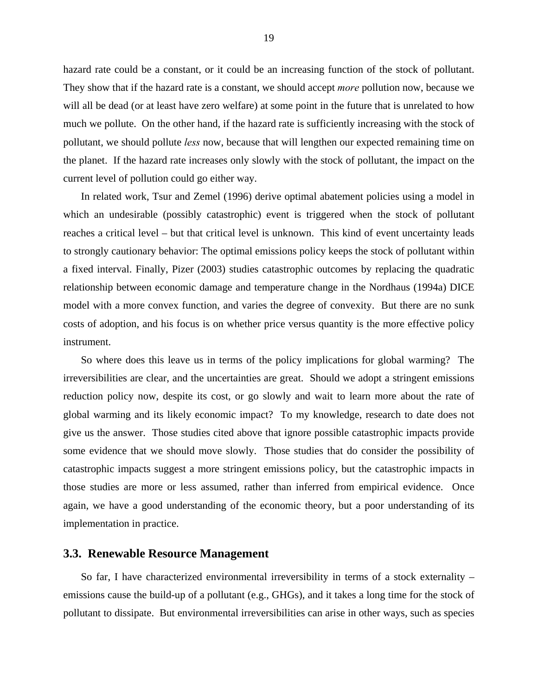hazard rate could be a constant, or it could be an increasing function of the stock of pollutant. They show that if the hazard rate is a constant, we should accept *more* pollution now, because we will all be dead (or at least have zero welfare) at some point in the future that is unrelated to how much we pollute. On the other hand, if the hazard rate is sufficiently increasing with the stock of pollutant, we should pollute *less* now, because that will lengthen our expected remaining time on the planet. If the hazard rate increases only slowly with the stock of pollutant, the impact on the current level of pollution could go either way.

In related work, Tsur and Zemel (1996) derive optimal abatement policies using a model in which an undesirable (possibly catastrophic) event is triggered when the stock of pollutant reaches a critical level – but that critical level is unknown. This kind of event uncertainty leads to strongly cautionary behavior: The optimal emissions policy keeps the stock of pollutant within a fixed interval. Finally, Pizer (2003) studies catastrophic outcomes by replacing the quadratic relationship between economic damage and temperature change in the Nordhaus (1994a) DICE model with a more convex function, and varies the degree of convexity. But there are no sunk costs of adoption, and his focus is on whether price versus quantity is the more effective policy instrument.

So where does this leave us in terms of the policy implications for global warming? The irreversibilities are clear, and the uncertainties are great. Should we adopt a stringent emissions reduction policy now, despite its cost, or go slowly and wait to learn more about the rate of global warming and its likely economic impact? To my knowledge, research to date does not give us the answer. Those studies cited above that ignore possible catastrophic impacts provide some evidence that we should move slowly. Those studies that do consider the possibility of catastrophic impacts suggest a more stringent emissions policy, but the catastrophic impacts in those studies are more or less assumed, rather than inferred from empirical evidence. Once again, we have a good understanding of the economic theory, but a poor understanding of its implementation in practice.

#### **3.3. Renewable Resource Management**

So far, I have characterized environmental irreversibility in terms of a stock externality – emissions cause the build-up of a pollutant (e.g., GHGs), and it takes a long time for the stock of pollutant to dissipate. But environmental irreversibilities can arise in other ways, such as species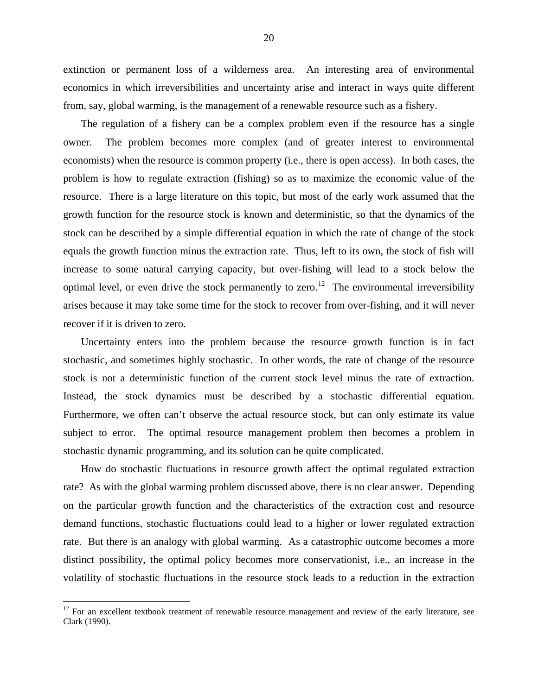extinction or permanent loss of a wilderness area. An interesting area of environmental economics in which irreversibilities and uncertainty arise and interact in ways quite different from, say, global warming, is the management of a renewable resource such as a fishery.

The regulation of a fishery can be a complex problem even if the resource has a single owner. The problem becomes more complex (and of greater interest to environmental economists) when the resource is common property (i.e., there is open access). In both cases, the problem is how to regulate extraction (fishing) so as to maximize the economic value of the resource. There is a large literature on this topic, but most of the early work assumed that the growth function for the resource stock is known and deterministic, so that the dynamics of the stock can be described by a simple differential equation in which the rate of change of the stock equals the growth function minus the extraction rate. Thus, left to its own, the stock of fish will increase to some natural carrying capacity, but over-fishing will lead to a stock below the optimal level, or even drive the stock permanently to zero.<sup>[12](#page-20-0)</sup> The environmental irreversibility arises because it may take some time for the stock to recover from over-fishing, and it will never recover if it is driven to zero.

Uncertainty enters into the problem because the resource growth function is in fact stochastic, and sometimes highly stochastic. In other words, the rate of change of the resource stock is not a deterministic function of the current stock level minus the rate of extraction. Instead, the stock dynamics must be described by a stochastic differential equation. Furthermore, we often can't observe the actual resource stock, but can only estimate its value subject to error. The optimal resource management problem then becomes a problem in stochastic dynamic programming, and its solution can be quite complicated.

How do stochastic fluctuations in resource growth affect the optimal regulated extraction rate? As with the global warming problem discussed above, there is no clear answer. Depending on the particular growth function and the characteristics of the extraction cost and resource demand functions, stochastic fluctuations could lead to a higher or lower regulated extraction rate. But there is an analogy with global warming. As a catastrophic outcome becomes a more distinct possibility, the optimal policy becomes more conservationist, i.e., an increase in the volatility of stochastic fluctuations in the resource stock leads to a reduction in the extraction

<span id="page-20-0"></span> $12$  For an excellent textbook treatment of renewable resource management and review of the early literature, see Clark (1990).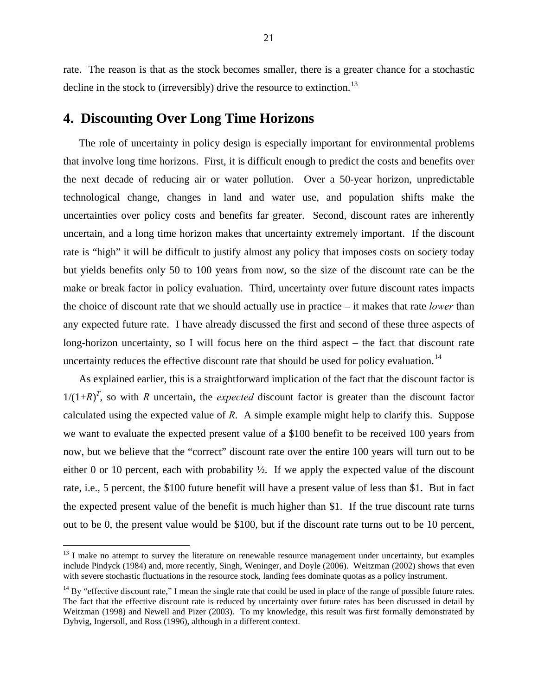rate. The reason is that as the stock becomes smaller, there is a greater chance for a stochastic decline in the stock to (irreversibly) drive the resource to extinction.<sup>[13](#page-21-0)</sup>

## **4. Discounting Over Long Time Horizons**

The role of uncertainty in policy design is especially important for environmental problems that involve long time horizons. First, it is difficult enough to predict the costs and benefits over the next decade of reducing air or water pollution. Over a 50-year horizon, unpredictable technological change, changes in land and water use, and population shifts make the uncertainties over policy costs and benefits far greater. Second, discount rates are inherently uncertain, and a long time horizon makes that uncertainty extremely important. If the discount rate is "high" it will be difficult to justify almost any policy that imposes costs on society today but yields benefits only 50 to 100 years from now, so the size of the discount rate can be the make or break factor in policy evaluation. Third, uncertainty over future discount rates impacts the choice of discount rate that we should actually use in practice – it makes that rate *lower* than any expected future rate. I have already discussed the first and second of these three aspects of long-horizon uncertainty, so I will focus here on the third aspect – the fact that discount rate uncertainty reduces the effective discount rate that should be used for policy evaluation.<sup>[14](#page-21-1)</sup>

As explained earlier, this is a straightforward implication of the fact that the discount factor is  $1/(1+R)^T$ , so with *R* uncertain, the *expected* discount factor is greater than the discount factor calculated using the expected value of *R*. A simple example might help to clarify this. Suppose we want to evaluate the expected present value of a \$100 benefit to be received 100 years from now, but we believe that the "correct" discount rate over the entire 100 years will turn out to be either 0 or 10 percent, each with probability ½. If we apply the expected value of the discount rate, i.e., 5 percent, the \$100 future benefit will have a present value of less than \$1. But in fact the expected present value of the benefit is much higher than \$1. If the true discount rate turns out to be 0, the present value would be \$100, but if the discount rate turns out to be 10 percent,

<span id="page-21-0"></span><sup>&</sup>lt;sup>13</sup> I make no attempt to survey the literature on renewable resource management under uncertainty, but examples include Pindyck (1984) and, more recently, Singh, Weninger, and Doyle (2006). Weitzman (2002) shows that even with severe stochastic fluctuations in the resource stock, landing fees dominate quotas as a policy instrument.

<span id="page-21-1"></span> $14$  By "effective discount rate," I mean the single rate that could be used in place of the range of possible future rates. The fact that the effective discount rate is reduced by uncertainty over future rates has been discussed in detail by Weitzman (1998) and Newell and Pizer (2003). To my knowledge, this result was first formally demonstrated by Dybvig, Ingersoll, and Ross (1996), although in a different context.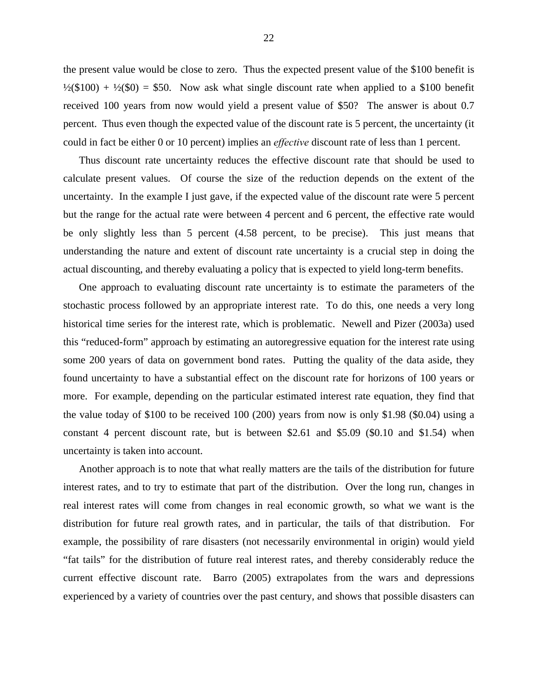the present value would be close to zero. Thus the expected present value of the \$100 benefit is  $\frac{1}{2}(100) + \frac{1}{2}(100) = 550$ . Now ask what single discount rate when applied to a \$100 benefit received 100 years from now would yield a present value of \$50? The answer is about 0.7 percent. Thus even though the expected value of the discount rate is 5 percent, the uncertainty (it could in fact be either 0 or 10 percent) implies an *effective* discount rate of less than 1 percent.

Thus discount rate uncertainty reduces the effective discount rate that should be used to calculate present values. Of course the size of the reduction depends on the extent of the uncertainty. In the example I just gave, if the expected value of the discount rate were 5 percent but the range for the actual rate were between 4 percent and 6 percent, the effective rate would be only slightly less than 5 percent (4.58 percent, to be precise). This just means that understanding the nature and extent of discount rate uncertainty is a crucial step in doing the actual discounting, and thereby evaluating a policy that is expected to yield long-term benefits.

One approach to evaluating discount rate uncertainty is to estimate the parameters of the stochastic process followed by an appropriate interest rate. To do this, one needs a very long historical time series for the interest rate, which is problematic. Newell and Pizer (2003a) used this "reduced-form" approach by estimating an autoregressive equation for the interest rate using some 200 years of data on government bond rates. Putting the quality of the data aside, they found uncertainty to have a substantial effect on the discount rate for horizons of 100 years or more. For example, depending on the particular estimated interest rate equation, they find that the value today of \$100 to be received 100 (200) years from now is only \$1.98 (\$0.04) using a constant 4 percent discount rate, but is between \$2.61 and \$5.09 (\$0.10 and \$1.54) when uncertainty is taken into account.

Another approach is to note that what really matters are the tails of the distribution for future interest rates, and to try to estimate that part of the distribution. Over the long run, changes in real interest rates will come from changes in real economic growth, so what we want is the distribution for future real growth rates, and in particular, the tails of that distribution. For example, the possibility of rare disasters (not necessarily environmental in origin) would yield "fat tails" for the distribution of future real interest rates, and thereby considerably reduce the current effective discount rate. Barro (2005) extrapolates from the wars and depressions experienced by a variety of countries over the past century, and shows that possible disasters can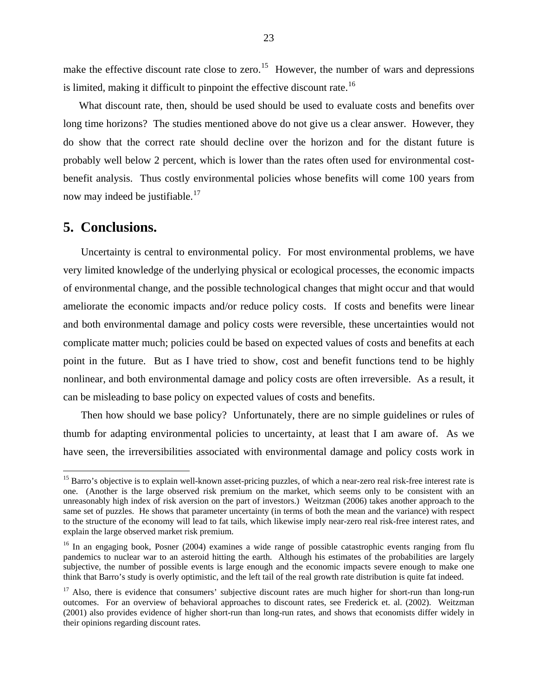make the effective discount rate close to zero.<sup>[15](#page-23-0)</sup> However, the number of wars and depressions is limited, making it difficult to pinpoint the effective discount rate.<sup>[16](#page-23-1)</sup>

What discount rate, then, should be used should be used to evaluate costs and benefits over long time horizons? The studies mentioned above do not give us a clear answer. However, they do show that the correct rate should decline over the horizon and for the distant future is probably well below 2 percent, which is lower than the rates often used for environmental costbenefit analysis. Thus costly environmental policies whose benefits will come 100 years from now may indeed be justifiable. $17$ 

### **5. Conclusions.**

 $\overline{a}$ 

Uncertainty is central to environmental policy. For most environmental problems, we have very limited knowledge of the underlying physical or ecological processes, the economic impacts of environmental change, and the possible technological changes that might occur and that would ameliorate the economic impacts and/or reduce policy costs. If costs and benefits were linear and both environmental damage and policy costs were reversible, these uncertainties would not complicate matter much; policies could be based on expected values of costs and benefits at each point in the future. But as I have tried to show, cost and benefit functions tend to be highly nonlinear, and both environmental damage and policy costs are often irreversible. As a result, it can be misleading to base policy on expected values of costs and benefits.

Then how should we base policy? Unfortunately, there are no simple guidelines or rules of thumb for adapting environmental policies to uncertainty, at least that I am aware of. As we have seen, the irreversibilities associated with environmental damage and policy costs work in

<span id="page-23-0"></span><sup>&</sup>lt;sup>15</sup> Barro's objective is to explain well-known asset-pricing puzzles, of which a near-zero real risk-free interest rate is one. (Another is the large observed risk premium on the market, which seems only to be consistent with an unreasonably high index of risk aversion on the part of investors.) Weitzman (2006) takes another approach to the same set of puzzles. He shows that parameter uncertainty (in terms of both the mean and the variance) with respect to the structure of the economy will lead to fat tails, which likewise imply near-zero real risk-free interest rates, and explain the large observed market risk premium.

<span id="page-23-1"></span><sup>&</sup>lt;sup>16</sup> In an engaging book, Posner (2004) examines a wide range of possible catastrophic events ranging from flu pandemics to nuclear war to an asteroid hitting the earth. Although his estimates of the probabilities are largely subjective, the number of possible events is large enough and the economic impacts severe enough to make one think that Barro's study is overly optimistic, and the left tail of the real growth rate distribution is quite fat indeed.

<span id="page-23-2"></span> $17$  Also, there is evidence that consumers' subjective discount rates are much higher for short-run than long-run outcomes. For an overview of behavioral approaches to discount rates, see Frederick et. al. (2002). Weitzman (2001) also provides evidence of higher short-run than long-run rates, and shows that economists differ widely in their opinions regarding discount rates.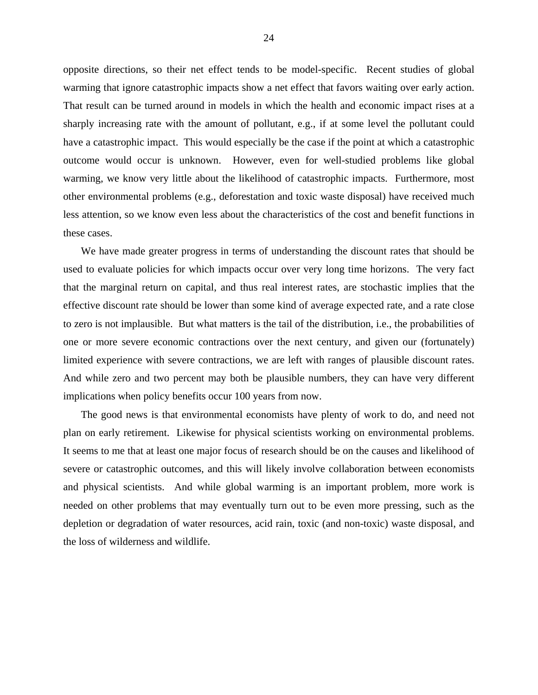opposite directions, so their net effect tends to be model-specific. Recent studies of global warming that ignore catastrophic impacts show a net effect that favors waiting over early action. That result can be turned around in models in which the health and economic impact rises at a sharply increasing rate with the amount of pollutant, e.g., if at some level the pollutant could have a catastrophic impact. This would especially be the case if the point at which a catastrophic outcome would occur is unknown. However, even for well-studied problems like global warming, we know very little about the likelihood of catastrophic impacts. Furthermore, most other environmental problems (e.g., deforestation and toxic waste disposal) have received much less attention, so we know even less about the characteristics of the cost and benefit functions in these cases.

We have made greater progress in terms of understanding the discount rates that should be used to evaluate policies for which impacts occur over very long time horizons. The very fact that the marginal return on capital, and thus real interest rates, are stochastic implies that the effective discount rate should be lower than some kind of average expected rate, and a rate close to zero is not implausible. But what matters is the tail of the distribution, i.e., the probabilities of one or more severe economic contractions over the next century, and given our (fortunately) limited experience with severe contractions, we are left with ranges of plausible discount rates. And while zero and two percent may both be plausible numbers, they can have very different implications when policy benefits occur 100 years from now.

The good news is that environmental economists have plenty of work to do, and need not plan on early retirement. Likewise for physical scientists working on environmental problems. It seems to me that at least one major focus of research should be on the causes and likelihood of severe or catastrophic outcomes, and this will likely involve collaboration between economists and physical scientists. And while global warming is an important problem, more work is needed on other problems that may eventually turn out to be even more pressing, such as the depletion or degradation of water resources, acid rain, toxic (and non-toxic) waste disposal, and the loss of wilderness and wildlife.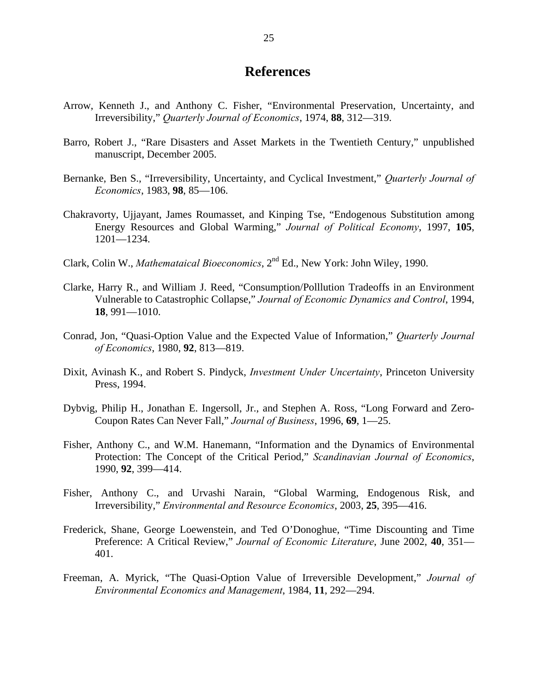## **References**

- Arrow, Kenneth J., and Anthony C. Fisher, "Environmental Preservation, Uncertainty, and Irreversibility," *Quarterly Journal of Economics*, 1974, **88**, 312—319.
- Barro, Robert J., "Rare Disasters and Asset Markets in the Twentieth Century," unpublished manuscript, December 2005.
- Bernanke, Ben S., "Irreversibility, Uncertainty, and Cyclical Investment," *Quarterly Journal of Economics*, 1983, **98**, 85—106.
- Chakravorty, Ujjayant, James Roumasset, and Kinping Tse, "Endogenous Substitution among Energy Resources and Global Warming," *Journal of Political Economy*, 1997, **105**, 1201—1234.
- Clark, Colin W., *Mathemataical Bioeconomics*, 2nd Ed., New York: John Wiley, 1990.
- Clarke, Harry R., and William J. Reed, "Consumption/Polllution Tradeoffs in an Environment Vulnerable to Catastrophic Collapse," *Journal of Economic Dynamics and Control*, 1994, **18**, 991—1010.
- Conrad, Jon, "Quasi-Option Value and the Expected Value of Information," *Quarterly Journal of Economics*, 1980, **92**, 813—819.
- Dixit, Avinash K., and Robert S. Pindyck, *Investment Under Uncertainty*, Princeton University Press, 1994.
- Dybvig, Philip H., Jonathan E. Ingersoll, Jr., and Stephen A. Ross, "Long Forward and Zero-Coupon Rates Can Never Fall," *Journal of Business*, 1996, **69**, 1—25.
- Fisher, Anthony C., and W.M. Hanemann, "Information and the Dynamics of Environmental Protection: The Concept of the Critical Period," *Scandinavian Journal of Economics*, 1990, **92**, 399—414.
- Fisher, Anthony C., and Urvashi Narain, "Global Warming, Endogenous Risk, and Irreversibility," *Environmental and Resource Economics*, 2003, **25**, 395—416.
- Frederick, Shane, George Loewenstein, and Ted O'Donoghue, "Time Discounting and Time Preference: A Critical Review," *Journal of Economic Literature*, June 2002, **40**, 351— 401.
- Freeman, A. Myrick, "The Quasi-Option Value of Irreversible Development," *Journal of Environmental Economics and Management*, 1984, **11**, 292—294.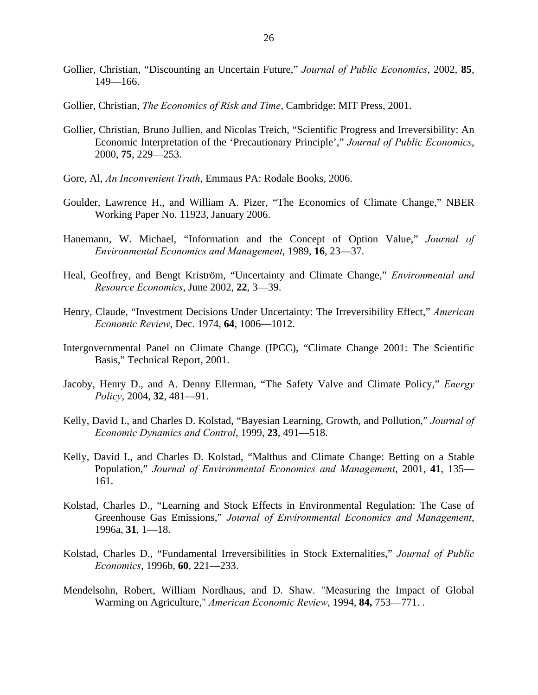- Gollier, Christian, "Discounting an Uncertain Future," *Journal of Public Economics*, 2002, **85**, 149—166.
- Gollier, Christian, *The Economics of Risk and Time*, Cambridge: MIT Press, 2001.
- Gollier, Christian, Bruno Jullien, and Nicolas Treich, "Scientific Progress and Irreversibility: An Economic Interpretation of the 'Precautionary Principle'," *Journal of Public Economics*, 2000, **75**, 229—253.
- Gore, Al, *An Inconvenient Truth*, Emmaus PA: Rodale Books, 2006.
- Goulder, Lawrence H., and William A. Pizer, "The Economics of Climate Change," NBER Working Paper No. 11923, January 2006.
- Hanemann, W. Michael, "Information and the Concept of Option Value," *Journal of Environmental Economics and Management*, 1989, **16**, 23—37.
- Heal, Geoffrey, and Bengt Kriström, "Uncertainty and Climate Change," *Environmental and Resource Economics*, June 2002, **22**, 3—39.
- Henry, Claude, "Investment Decisions Under Uncertainty: The Irreversibility Effect," *American Economic Review*, Dec. 1974, **64**, 1006—1012.
- Intergovernmental Panel on Climate Change (IPCC), "Climate Change 2001: The Scientific Basis," Technical Report, 2001.
- Jacoby, Henry D., and A. Denny Ellerman, "The Safety Valve and Climate Policy," *Energy Policy*, 2004, **32**, 481—91.
- Kelly, David I., and Charles D. Kolstad, "Bayesian Learning, Growth, and Pollution," *Journal of Economic Dynamics and Control*, 1999, **23**, 491—518.
- Kelly, David I., and Charles D. Kolstad, "Malthus and Climate Change: Betting on a Stable Population," *Journal of Environmental Economics and Management*, 2001, **41**, 135— 161.
- Kolstad, Charles D., "Learning and Stock Effects in Environmental Regulation: The Case of Greenhouse Gas Emissions," *Journal of Environmental Economics and Management*, 1996a, **31**, 1—18.
- Kolstad, Charles D., "Fundamental Irreversibilities in Stock Externalities," *Journal of Public Economics*, 1996b, **60**, 221—233.
- Mendelsohn, Robert, William Nordhaus, and D. Shaw. "Measuring the Impact of Global Warming on Agriculture," *American Economic Review*, 1994, **84,** 753—771. .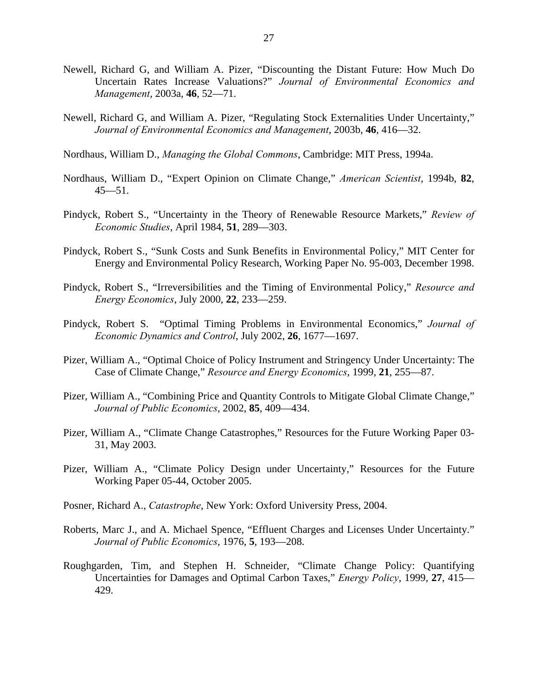- Newell, Richard G, and William A. Pizer, "Discounting the Distant Future: How Much Do Uncertain Rates Increase Valuations?" *Journal of Environmental Economics and Management*, 2003a, **46**, 52—71.
- Newell, Richard G, and William A. Pizer, "Regulating Stock Externalities Under Uncertainty," *Journal of Environmental Economics and Management*, 2003b, **46**, 416—32.
- Nordhaus, William D., *Managing the Global Commons*, Cambridge: MIT Press, 1994a.
- Nordhaus, William D., "Expert Opinion on Climate Change," *American Scientist*, 1994b, **82**,  $45 - 51$ .
- Pindyck, Robert S., "Uncertainty in the Theory of Renewable Resource Markets," *Review of Economic Studies*, April 1984, **51**, 289—303.
- Pindyck, Robert S., "Sunk Costs and Sunk Benefits in Environmental Policy," MIT Center for Energy and Environmental Policy Research, Working Paper No. 95-003, December 1998.
- Pindyck, Robert S., "Irreversibilities and the Timing of Environmental Policy," *Resource and Energy Economics*, July 2000, **22**, 233—259.
- Pindyck, Robert S. "Optimal Timing Problems in Environmental Economics," *Journal of Economic Dynamics and Control*, July 2002, **26**, 1677—1697.
- Pizer, William A., "Optimal Choice of Policy Instrument and Stringency Under Uncertainty: The Case of Climate Change," *Resource and Energy Economics*, 1999, **21**, 255—87.
- Pizer, William A., "Combining Price and Quantity Controls to Mitigate Global Climate Change," *Journal of Public Economics*, 2002, **85**, 409—434.
- Pizer, William A., "Climate Change Catastrophes," Resources for the Future Working Paper 03- 31, May 2003.
- Pizer, William A., "Climate Policy Design under Uncertainty," Resources for the Future Working Paper 05-44, October 2005.
- Posner, Richard A., *Catastrophe*, New York: Oxford University Press, 2004.
- Roberts, Marc J., and A. Michael Spence, "Effluent Charges and Licenses Under Uncertainty." *Journal of Public Economics*, 1976, **5**, 193—208.
- Roughgarden, Tim, and Stephen H. Schneider, "Climate Change Policy: Quantifying Uncertainties for Damages and Optimal Carbon Taxes," *Energy Policy*, 1999, **27**, 415— 429.